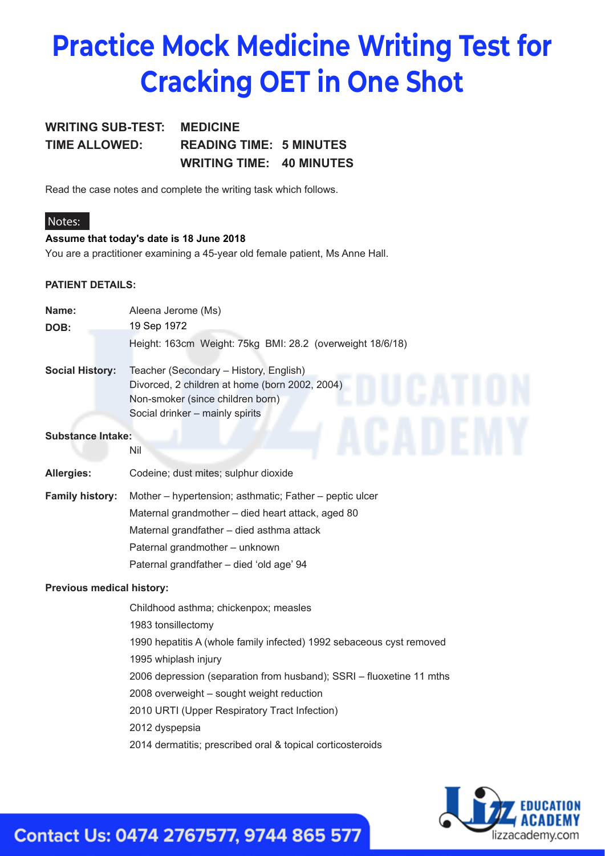# **Practice Mock Medicine Writing Test for Cracking OET in One Shot**

### **WRITING SUB-TEST: MEDICINE TIME ALLOWED: READING TIME: 5 MINUTES WRITING TIME: 40 MINUTES**

Read the case notes and complete the writing task which follows.

#### **Notes:**

#### **Assume that today's date is 18 June 2018**

You are a practitioner examining a 45-year old female patient, Ms Anne Hall.

#### **PATIENT DETAILS:**

| Name:                     | Aleena Jerome (Ms)                                                                                                                                              |
|---------------------------|-----------------------------------------------------------------------------------------------------------------------------------------------------------------|
| DOB:                      | 19 Sep 1972                                                                                                                                                     |
|                           | Height: 163cm Weight: 75kg BMI: 28.2 (overweight 18/6/18)                                                                                                       |
| <b>Social History:</b>    | Teacher (Secondary - History, English)<br>Divorced, 2 children at home (born 2002, 2004)<br>Non-smoker (since children born)<br>Social drinker - mainly spirits |
| <b>Substance Intake:</b>  | Nil                                                                                                                                                             |
| <b>Allergies:</b>         | Codeine; dust mites; sulphur dioxide                                                                                                                            |
| <b>Family history:</b>    | Mother - hypertension; asthmatic; Father - peptic ulcer                                                                                                         |
|                           | Maternal grandmother - died heart attack, aged 80                                                                                                               |
|                           | Maternal grandfather - died asthma attack                                                                                                                       |
|                           | Paternal grandmother - unknown                                                                                                                                  |
|                           | Paternal grandfather - died 'old age' 94                                                                                                                        |
| Previous medical history: |                                                                                                                                                                 |
|                           | Childhood asthma; chickenpox; measles                                                                                                                           |
|                           | 1983 tonsillectomy                                                                                                                                              |
|                           | 1990 hepatitis A (whole family infected) 1992 sebaceous cyst removed                                                                                            |
|                           | 1995 whiplash injury                                                                                                                                            |
|                           | 2006 depression (separation from husband); SSRI - fluoxetine 11 mths                                                                                            |
|                           | 2008 overweight - sought weight reduction                                                                                                                       |
|                           | 2010 URTI (Upper Respiratory Tract Infection)                                                                                                                   |
|                           | 2012 dyspepsia                                                                                                                                                  |
|                           | 2014 dermatitis; prescribed oral & topical corticosteroids                                                                                                      |



## Contact Us: 0474 2767577, 9744 865 577